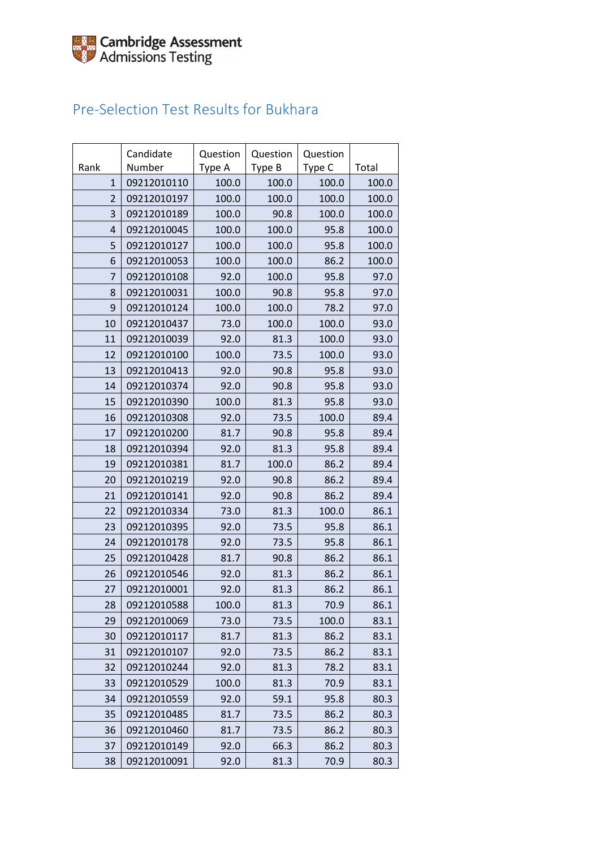### Pre-Selection Test Results for Bukhara

| Rank           | Candidate<br>Number | Question<br>Type A | Question<br>Type B | Question<br>Type C | Total |
|----------------|---------------------|--------------------|--------------------|--------------------|-------|
| $\mathbf{1}$   | 09212010110         | 100.0              | 100.0              | 100.0              | 100.0 |
| $\overline{2}$ | 09212010197         | 100.0              | 100.0              | 100.0              | 100.0 |
| 3              | 09212010189         | 100.0              | 90.8               | 100.0              | 100.0 |
| $\overline{4}$ | 09212010045         | 100.0              | 100.0              | 95.8               | 100.0 |
| 5              | 09212010127         | 100.0              | 100.0              | 95.8               | 100.0 |
| 6              | 09212010053         | 100.0              | 100.0              | 86.2               | 100.0 |
| $\overline{7}$ | 09212010108         | 92.0               | 100.0              | 95.8               | 97.0  |
| 8              | 09212010031         | 100.0              | 90.8               | 95.8               | 97.0  |
| 9              | 09212010124         | 100.0              | 100.0              | 78.2               | 97.0  |
| 10             | 09212010437         | 73.0               | 100.0              | 100.0              | 93.0  |
| 11             | 09212010039         | 92.0               | 81.3               | 100.0              | 93.0  |
| 12             | 09212010100         | 100.0              | 73.5               | 100.0              | 93.0  |
| 13             | 09212010413         | 92.0               | 90.8               | 95.8               | 93.0  |
| 14             | 09212010374         | 92.0               | 90.8               | 95.8               | 93.0  |
| 15             | 09212010390         | 100.0              | 81.3               | 95.8               | 93.0  |
| 16             | 09212010308         | 92.0               | 73.5               | 100.0              | 89.4  |
| 17             | 09212010200         | 81.7               | 90.8               | 95.8               | 89.4  |
| 18             | 09212010394         | 92.0               | 81.3               | 95.8               | 89.4  |
| 19             | 09212010381         | 81.7               | 100.0              | 86.2               | 89.4  |
| 20             | 09212010219         | 92.0               | 90.8               | 86.2               | 89.4  |
| 21             | 09212010141         | 92.0               | 90.8               | 86.2               | 89.4  |
| 22             | 09212010334         | 73.0               | 81.3               | 100.0              | 86.1  |
| 23             | 09212010395         | 92.0               | 73.5               | 95.8               | 86.1  |
| 24             | 09212010178         | 92.0               | 73.5               | 95.8               | 86.1  |
| 25             | 09212010428         | 81.7               | 90.8               | 86.2               | 86.1  |
| 26             | 09212010546         | 92.0               | 81.3               | 86.2               | 86.1  |
| 27             | 09212010001         | 92.0               | 81.3               | 86.2               | 86.1  |
| 28             | 09212010588         | 100.0              | 81.3               | 70.9               | 86.1  |
| 29             | 09212010069         | 73.0               | 73.5               | 100.0              | 83.1  |
| 30             | 09212010117         | 81.7               | 81.3               | 86.2               | 83.1  |
| 31             | 09212010107         | 92.0               | 73.5               | 86.2               | 83.1  |
| 32             | 09212010244         | 92.0               | 81.3               | 78.2               | 83.1  |
| 33             | 09212010529         | 100.0              | 81.3               | 70.9               | 83.1  |
| 34             | 09212010559         | 92.0               | 59.1               | 95.8               | 80.3  |
| 35             | 09212010485         | 81.7               | 73.5               | 86.2               | 80.3  |
| 36             | 09212010460         | 81.7               | 73.5               | 86.2               | 80.3  |
| 37             | 09212010149         | 92.0               | 66.3               | 86.2               | 80.3  |
| 38             | 09212010091         | 92.0               | 81.3               | 70.9               | 80.3  |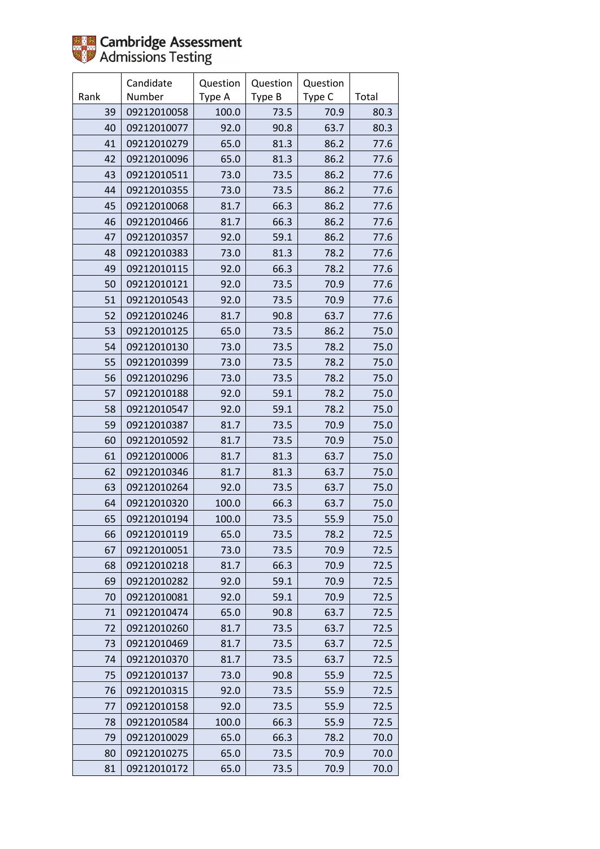

|      | Candidate   | Question | Question | Question |       |
|------|-------------|----------|----------|----------|-------|
| Rank | Number      | Type A   | Type B   | Type C   | Total |
| 39   | 09212010058 | 100.0    | 73.5     | 70.9     | 80.3  |
| 40   | 09212010077 | 92.0     | 90.8     | 63.7     | 80.3  |
| 41   | 09212010279 | 65.0     | 81.3     | 86.2     | 77.6  |
| 42   | 09212010096 | 65.0     | 81.3     | 86.2     | 77.6  |
| 43   | 09212010511 | 73.0     | 73.5     | 86.2     | 77.6  |
| 44   | 09212010355 | 73.0     | 73.5     | 86.2     | 77.6  |
| 45   | 09212010068 | 81.7     | 66.3     | 86.2     | 77.6  |
| 46   | 09212010466 | 81.7     | 66.3     | 86.2     | 77.6  |
| 47   | 09212010357 | 92.0     | 59.1     | 86.2     | 77.6  |
| 48   | 09212010383 | 73.0     | 81.3     | 78.2     | 77.6  |
| 49   | 09212010115 | 92.0     | 66.3     | 78.2     | 77.6  |
| 50   | 09212010121 | 92.0     | 73.5     | 70.9     | 77.6  |
| 51   | 09212010543 | 92.0     | 73.5     | 70.9     | 77.6  |
| 52   | 09212010246 | 81.7     | 90.8     | 63.7     | 77.6  |
| 53   | 09212010125 | 65.0     | 73.5     | 86.2     | 75.0  |
| 54   | 09212010130 | 73.0     | 73.5     | 78.2     | 75.0  |
| 55   | 09212010399 | 73.0     | 73.5     | 78.2     | 75.0  |
| 56   | 09212010296 | 73.0     | 73.5     | 78.2     | 75.0  |
| 57   | 09212010188 | 92.0     | 59.1     | 78.2     | 75.0  |
| 58   | 09212010547 | 92.0     | 59.1     | 78.2     | 75.0  |
| 59   | 09212010387 | 81.7     | 73.5     | 70.9     | 75.0  |
| 60   | 09212010592 | 81.7     | 73.5     | 70.9     | 75.0  |
| 61   | 09212010006 | 81.7     | 81.3     | 63.7     | 75.0  |
| 62   | 09212010346 | 81.7     | 81.3     | 63.7     | 75.0  |
| 63   | 09212010264 | 92.0     | 73.5     | 63.7     | 75.0  |
| 64   | 09212010320 | 100.0    | 66.3     | 63.7     | 75.0  |
| 65   | 09212010194 | 100.0    | 73.5     | 55.9     | 75.0  |
| 66   | 09212010119 | 65.0     | 73.5     | 78.2     | 72.5  |
| 67   | 09212010051 | 73.0     | 73.5     | 70.9     | 72.5  |
| 68   | 09212010218 | 81.7     | 66.3     | 70.9     | 72.5  |
| 69   | 09212010282 | 92.0     | 59.1     | 70.9     | 72.5  |
| 70   | 09212010081 | 92.0     | 59.1     | 70.9     | 72.5  |
| 71   | 09212010474 | 65.0     | 90.8     | 63.7     | 72.5  |
| 72   | 09212010260 | 81.7     | 73.5     | 63.7     | 72.5  |
| 73   | 09212010469 | 81.7     | 73.5     | 63.7     | 72.5  |
| 74   | 09212010370 | 81.7     | 73.5     | 63.7     | 72.5  |
| 75   | 09212010137 | 73.0     | 90.8     | 55.9     | 72.5  |
| 76   | 09212010315 | 92.0     | 73.5     | 55.9     | 72.5  |
| 77   | 09212010158 | 92.0     | 73.5     | 55.9     | 72.5  |
| 78   | 09212010584 | 100.0    | 66.3     | 55.9     | 72.5  |
| 79   | 09212010029 | 65.0     | 66.3     | 78.2     | 70.0  |
| 80   | 09212010275 | 65.0     | 73.5     | 70.9     | 70.0  |
| 81   | 09212010172 | 65.0     | 73.5     | 70.9     | 70.0  |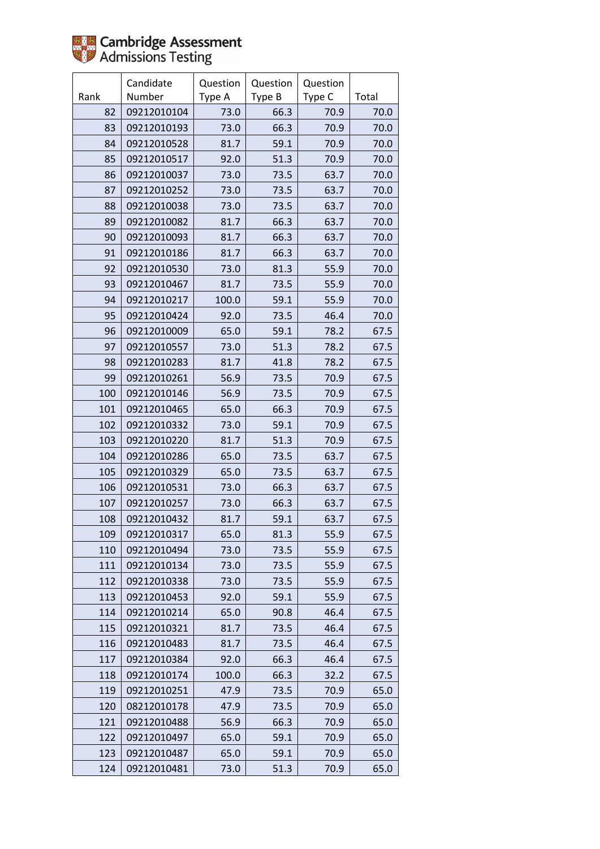

|      | Candidate   | Question | Question | Question |       |
|------|-------------|----------|----------|----------|-------|
| Rank | Number      | Type A   | Type B   | Type C   | Total |
| 82   | 09212010104 | 73.0     | 66.3     | 70.9     | 70.0  |
| 83   | 09212010193 | 73.0     | 66.3     | 70.9     | 70.0  |
| 84   | 09212010528 | 81.7     | 59.1     | 70.9     | 70.0  |
| 85   | 09212010517 | 92.0     | 51.3     | 70.9     | 70.0  |
| 86   | 09212010037 | 73.0     | 73.5     | 63.7     | 70.0  |
| 87   | 09212010252 | 73.0     | 73.5     | 63.7     | 70.0  |
| 88   | 09212010038 | 73.0     | 73.5     | 63.7     | 70.0  |
| 89   | 09212010082 | 81.7     | 66.3     | 63.7     | 70.0  |
| 90   | 09212010093 | 81.7     | 66.3     | 63.7     | 70.0  |
| 91   | 09212010186 | 81.7     | 66.3     | 63.7     | 70.0  |
| 92   | 09212010530 | 73.0     | 81.3     | 55.9     | 70.0  |
| 93   | 09212010467 | 81.7     | 73.5     | 55.9     | 70.0  |
| 94   | 09212010217 | 100.0    | 59.1     | 55.9     | 70.0  |
| 95   | 09212010424 | 92.0     | 73.5     | 46.4     | 70.0  |
| 96   | 09212010009 | 65.0     | 59.1     | 78.2     | 67.5  |
| 97   | 09212010557 | 73.0     | 51.3     | 78.2     | 67.5  |
| 98   | 09212010283 | 81.7     | 41.8     | 78.2     | 67.5  |
| 99   | 09212010261 | 56.9     | 73.5     | 70.9     | 67.5  |
| 100  | 09212010146 | 56.9     | 73.5     | 70.9     | 67.5  |
| 101  | 09212010465 | 65.0     | 66.3     | 70.9     | 67.5  |
| 102  | 09212010332 | 73.0     | 59.1     | 70.9     | 67.5  |
| 103  | 09212010220 | 81.7     | 51.3     | 70.9     | 67.5  |
| 104  | 09212010286 | 65.0     | 73.5     | 63.7     | 67.5  |
| 105  | 09212010329 | 65.0     | 73.5     | 63.7     | 67.5  |
| 106  | 09212010531 | 73.0     | 66.3     | 63.7     | 67.5  |
| 107  | 09212010257 | 73.0     | 66.3     | 63.7     | 67.5  |
| 108  | 09212010432 | 81.7     | 59.1     | 63.7     | 67.5  |
| 109  | 09212010317 | 65.0     | 81.3     | 55.9     | 67.5  |
| 110  | 09212010494 | 73.0     | 73.5     | 55.9     | 67.5  |
| 111  | 09212010134 | 73.0     | 73.5     | 55.9     | 67.5  |
| 112  | 09212010338 | 73.0     | 73.5     | 55.9     | 67.5  |
| 113  | 09212010453 | 92.0     | 59.1     | 55.9     | 67.5  |
| 114  | 09212010214 | 65.0     | 90.8     | 46.4     | 67.5  |
| 115  | 09212010321 | 81.7     | 73.5     | 46.4     | 67.5  |
| 116  | 09212010483 | 81.7     | 73.5     | 46.4     | 67.5  |
| 117  | 09212010384 | 92.0     | 66.3     | 46.4     | 67.5  |
| 118  | 09212010174 | 100.0    | 66.3     | 32.2     | 67.5  |
| 119  | 09212010251 | 47.9     | 73.5     | 70.9     | 65.0  |
| 120  | 08212010178 | 47.9     | 73.5     | 70.9     | 65.0  |
| 121  | 09212010488 | 56.9     | 66.3     | 70.9     | 65.0  |
| 122  | 09212010497 | 65.0     | 59.1     | 70.9     | 65.0  |
| 123  | 09212010487 | 65.0     | 59.1     | 70.9     | 65.0  |
| 124  | 09212010481 | 73.0     | 51.3     | 70.9     | 65.0  |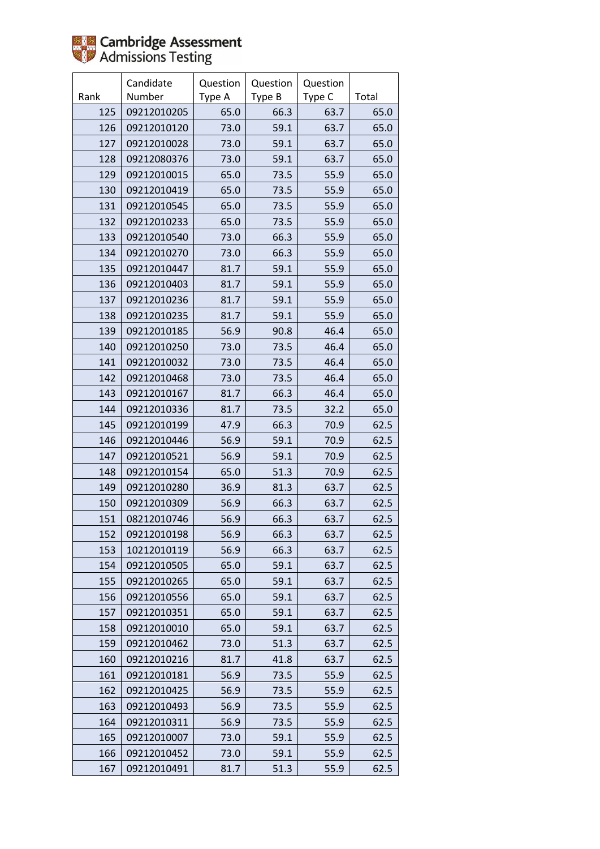|      | Candidate   | Question | Question | Question |       |
|------|-------------|----------|----------|----------|-------|
| Rank | Number      | Type A   | Type B   | Type C   | Total |
| 125  | 09212010205 | 65.0     | 66.3     | 63.7     | 65.0  |
| 126  | 09212010120 | 73.0     | 59.1     | 63.7     | 65.0  |
| 127  | 09212010028 | 73.0     | 59.1     | 63.7     | 65.0  |
| 128  | 09212080376 | 73.0     | 59.1     | 63.7     | 65.0  |
| 129  | 09212010015 | 65.0     | 73.5     | 55.9     | 65.0  |
| 130  | 09212010419 | 65.0     | 73.5     | 55.9     | 65.0  |
| 131  | 09212010545 | 65.0     | 73.5     | 55.9     | 65.0  |
| 132  | 09212010233 | 65.0     | 73.5     | 55.9     | 65.0  |
| 133  | 09212010540 | 73.0     | 66.3     | 55.9     | 65.0  |
| 134  | 09212010270 | 73.0     | 66.3     | 55.9     | 65.0  |
| 135  | 09212010447 | 81.7     | 59.1     | 55.9     | 65.0  |
| 136  | 09212010403 | 81.7     | 59.1     | 55.9     | 65.0  |
| 137  | 09212010236 | 81.7     | 59.1     | 55.9     | 65.0  |
| 138  | 09212010235 | 81.7     | 59.1     | 55.9     | 65.0  |
| 139  | 09212010185 | 56.9     | 90.8     | 46.4     | 65.0  |
| 140  | 09212010250 | 73.0     | 73.5     | 46.4     | 65.0  |
| 141  | 09212010032 | 73.0     | 73.5     | 46.4     | 65.0  |
| 142  | 09212010468 | 73.0     | 73.5     | 46.4     | 65.0  |
| 143  | 09212010167 | 81.7     | 66.3     | 46.4     | 65.0  |
| 144  | 09212010336 | 81.7     | 73.5     | 32.2     | 65.0  |
| 145  | 09212010199 | 47.9     | 66.3     | 70.9     | 62.5  |
| 146  | 09212010446 | 56.9     | 59.1     | 70.9     | 62.5  |
| 147  | 09212010521 | 56.9     | 59.1     | 70.9     | 62.5  |
| 148  | 09212010154 | 65.0     | 51.3     | 70.9     | 62.5  |
| 149  | 09212010280 | 36.9     | 81.3     | 63.7     | 62.5  |
| 150  | 09212010309 | 56.9     | 66.3     | 63.7     | 62.5  |
| 151  | 08212010746 | 56.9     | 66.3     | 63.7     | 62.5  |
| 152  | 09212010198 | 56.9     | 66.3     | 63.7     | 62.5  |
| 153  | 10212010119 | 56.9     | 66.3     | 63.7     | 62.5  |
| 154  | 09212010505 | 65.0     | 59.1     | 63.7     | 62.5  |
| 155  | 09212010265 | 65.0     | 59.1     | 63.7     | 62.5  |
| 156  | 09212010556 | 65.0     | 59.1     | 63.7     | 62.5  |
| 157  | 09212010351 | 65.0     | 59.1     | 63.7     | 62.5  |
| 158  | 09212010010 | 65.0     | 59.1     | 63.7     | 62.5  |
| 159  | 09212010462 | 73.0     | 51.3     | 63.7     | 62.5  |
| 160  | 09212010216 | 81.7     | 41.8     | 63.7     | 62.5  |
| 161  | 09212010181 | 56.9     | 73.5     | 55.9     | 62.5  |
| 162  | 09212010425 | 56.9     | 73.5     | 55.9     | 62.5  |
| 163  | 09212010493 | 56.9     | 73.5     | 55.9     | 62.5  |
| 164  | 09212010311 | 56.9     | 73.5     | 55.9     | 62.5  |
| 165  | 09212010007 | 73.0     | 59.1     | 55.9     | 62.5  |
| 166  | 09212010452 | 73.0     | 59.1     | 55.9     | 62.5  |
| 167  | 09212010491 | 81.7     | 51.3     | 55.9     | 62.5  |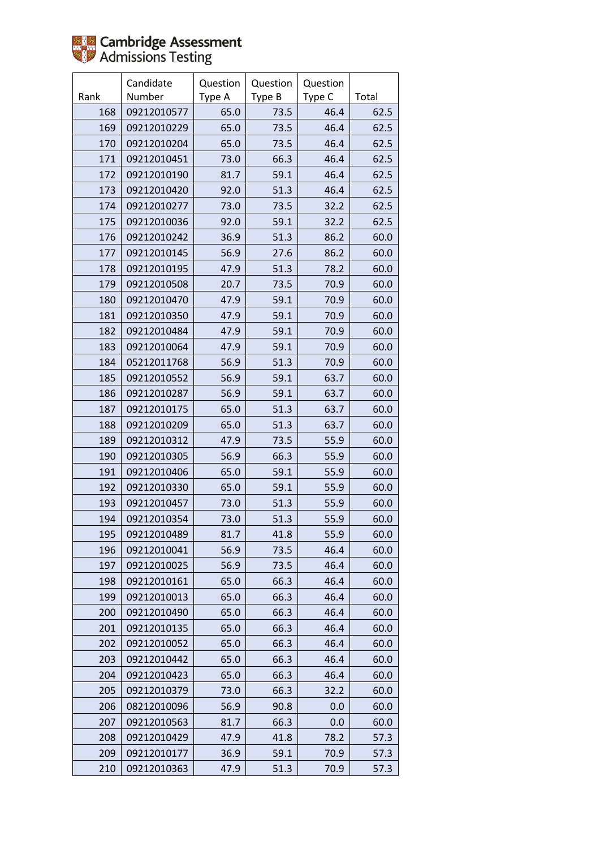

|      | Candidate   | Question | Question | Question |       |
|------|-------------|----------|----------|----------|-------|
| Rank | Number      | Type A   | Type B   | Type C   | Total |
| 168  | 09212010577 | 65.0     | 73.5     | 46.4     | 62.5  |
| 169  | 09212010229 | 65.0     | 73.5     | 46.4     | 62.5  |
| 170  | 09212010204 | 65.0     | 73.5     | 46.4     | 62.5  |
| 171  | 09212010451 | 73.0     | 66.3     | 46.4     | 62.5  |
| 172  | 09212010190 | 81.7     | 59.1     | 46.4     | 62.5  |
| 173  | 09212010420 | 92.0     | 51.3     | 46.4     | 62.5  |
| 174  | 09212010277 | 73.0     | 73.5     | 32.2     | 62.5  |
| 175  | 09212010036 | 92.0     | 59.1     | 32.2     | 62.5  |
| 176  | 09212010242 | 36.9     | 51.3     | 86.2     | 60.0  |
| 177  | 09212010145 | 56.9     | 27.6     | 86.2     | 60.0  |
| 178  | 09212010195 | 47.9     | 51.3     | 78.2     | 60.0  |
| 179  | 09212010508 | 20.7     | 73.5     | 70.9     | 60.0  |
| 180  | 09212010470 | 47.9     | 59.1     | 70.9     | 60.0  |
| 181  | 09212010350 | 47.9     | 59.1     | 70.9     | 60.0  |
| 182  | 09212010484 | 47.9     | 59.1     | 70.9     | 60.0  |
| 183  | 09212010064 | 47.9     | 59.1     | 70.9     | 60.0  |
| 184  | 05212011768 | 56.9     | 51.3     | 70.9     | 60.0  |
| 185  | 09212010552 | 56.9     | 59.1     | 63.7     | 60.0  |
| 186  | 09212010287 | 56.9     | 59.1     | 63.7     | 60.0  |
| 187  | 09212010175 | 65.0     | 51.3     | 63.7     | 60.0  |
| 188  | 09212010209 | 65.0     | 51.3     | 63.7     | 60.0  |
| 189  | 09212010312 | 47.9     | 73.5     | 55.9     | 60.0  |
| 190  | 09212010305 | 56.9     | 66.3     | 55.9     | 60.0  |
| 191  | 09212010406 | 65.0     | 59.1     | 55.9     | 60.0  |
| 192  | 09212010330 | 65.0     | 59.1     | 55.9     | 60.0  |
| 193  | 09212010457 | 73.0     | 51.3     | 55.9     | 60.0  |
| 194  | 09212010354 | 73.0     | 51.3     | 55.9     | 60.0  |
| 195  | 09212010489 | 81.7     | 41.8     | 55.9     | 60.0  |
| 196  | 09212010041 | 56.9     | 73.5     | 46.4     | 60.0  |
| 197  | 09212010025 | 56.9     | 73.5     | 46.4     | 60.0  |
| 198  | 09212010161 | 65.0     | 66.3     | 46.4     | 60.0  |
| 199  | 09212010013 | 65.0     | 66.3     | 46.4     | 60.0  |
| 200  | 09212010490 | 65.0     | 66.3     | 46.4     | 60.0  |
| 201  | 09212010135 | 65.0     | 66.3     | 46.4     | 60.0  |
| 202  | 09212010052 | 65.0     | 66.3     | 46.4     | 60.0  |
| 203  | 09212010442 | 65.0     | 66.3     | 46.4     | 60.0  |
| 204  | 09212010423 | 65.0     | 66.3     | 46.4     | 60.0  |
| 205  | 09212010379 | 73.0     | 66.3     | 32.2     | 60.0  |
| 206  | 08212010096 | 56.9     | 90.8     | 0.0      | 60.0  |
| 207  | 09212010563 | 81.7     | 66.3     | 0.0      | 60.0  |
| 208  | 09212010429 | 47.9     | 41.8     | 78.2     | 57.3  |
| 209  | 09212010177 | 36.9     | 59.1     | 70.9     | 57.3  |
| 210  | 09212010363 | 47.9     | 51.3     | 70.9     | 57.3  |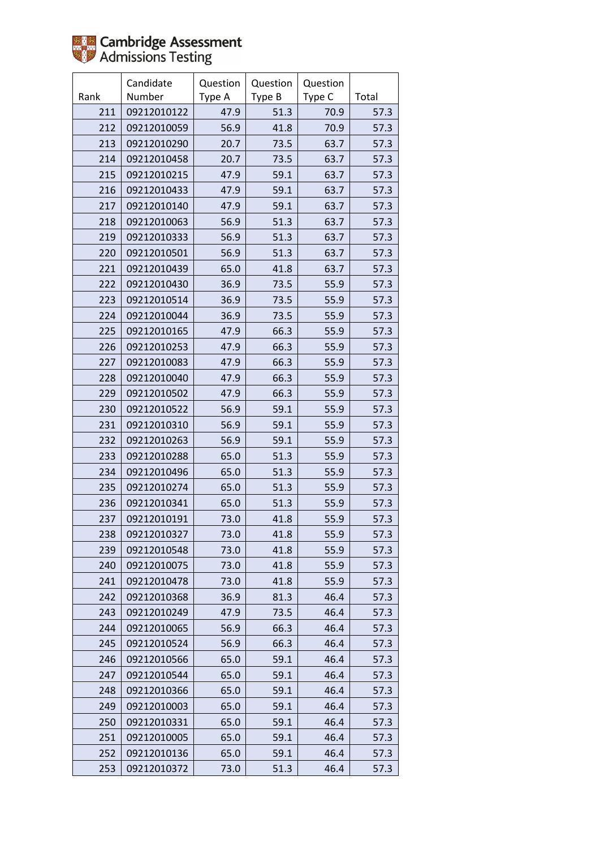

|      | Candidate   | Question | Question | Question |       |
|------|-------------|----------|----------|----------|-------|
| Rank | Number      | Type A   | Type B   | Type C   | Total |
| 211  | 09212010122 | 47.9     | 51.3     | 70.9     | 57.3  |
| 212  | 09212010059 | 56.9     | 41.8     | 70.9     | 57.3  |
| 213  | 09212010290 | 20.7     | 73.5     | 63.7     | 57.3  |
| 214  | 09212010458 | 20.7     | 73.5     | 63.7     | 57.3  |
| 215  | 09212010215 | 47.9     | 59.1     | 63.7     | 57.3  |
| 216  | 09212010433 | 47.9     | 59.1     | 63.7     | 57.3  |
| 217  | 09212010140 | 47.9     | 59.1     | 63.7     | 57.3  |
| 218  | 09212010063 | 56.9     | 51.3     | 63.7     | 57.3  |
| 219  | 09212010333 | 56.9     | 51.3     | 63.7     | 57.3  |
| 220  | 09212010501 | 56.9     | 51.3     | 63.7     | 57.3  |
| 221  | 09212010439 | 65.0     | 41.8     | 63.7     | 57.3  |
| 222  | 09212010430 | 36.9     | 73.5     | 55.9     | 57.3  |
| 223  | 09212010514 | 36.9     | 73.5     | 55.9     | 57.3  |
| 224  | 09212010044 | 36.9     | 73.5     | 55.9     | 57.3  |
| 225  | 09212010165 | 47.9     | 66.3     | 55.9     | 57.3  |
| 226  | 09212010253 | 47.9     | 66.3     | 55.9     | 57.3  |
| 227  | 09212010083 | 47.9     | 66.3     | 55.9     | 57.3  |
| 228  | 09212010040 | 47.9     | 66.3     | 55.9     | 57.3  |
| 229  | 09212010502 | 47.9     | 66.3     | 55.9     | 57.3  |
| 230  | 09212010522 | 56.9     | 59.1     | 55.9     | 57.3  |
| 231  | 09212010310 | 56.9     | 59.1     | 55.9     | 57.3  |
| 232  | 09212010263 | 56.9     | 59.1     | 55.9     | 57.3  |
| 233  | 09212010288 | 65.0     | 51.3     | 55.9     | 57.3  |
| 234  | 09212010496 | 65.0     | 51.3     | 55.9     | 57.3  |
| 235  | 09212010274 | 65.0     | 51.3     | 55.9     | 57.3  |
| 236  | 09212010341 | 65.0     | 51.3     | 55.9     | 57.3  |
| 237  | 09212010191 | 73.0     | 41.8     | 55.9     | 57.3  |
| 238  | 09212010327 | 73.0     | 41.8     | 55.9     | 57.3  |
| 239  | 09212010548 | 73.0     | 41.8     | 55.9     | 57.3  |
| 240  | 09212010075 | 73.0     | 41.8     | 55.9     | 57.3  |
| 241  | 09212010478 | 73.0     | 41.8     | 55.9     | 57.3  |
| 242  | 09212010368 | 36.9     | 81.3     | 46.4     | 57.3  |
| 243  | 09212010249 | 47.9     | 73.5     | 46.4     | 57.3  |
| 244  | 09212010065 | 56.9     | 66.3     | 46.4     | 57.3  |
| 245  | 09212010524 | 56.9     | 66.3     | 46.4     | 57.3  |
| 246  | 09212010566 | 65.0     | 59.1     | 46.4     | 57.3  |
| 247  | 09212010544 | 65.0     | 59.1     | 46.4     | 57.3  |
| 248  | 09212010366 | 65.0     | 59.1     | 46.4     | 57.3  |
| 249  | 09212010003 | 65.0     | 59.1     | 46.4     | 57.3  |
| 250  | 09212010331 | 65.0     | 59.1     | 46.4     | 57.3  |
| 251  | 09212010005 | 65.0     | 59.1     | 46.4     | 57.3  |
| 252  | 09212010136 | 65.0     | 59.1     | 46.4     | 57.3  |
| 253  | 09212010372 | 73.0     | 51.3     | 46.4     | 57.3  |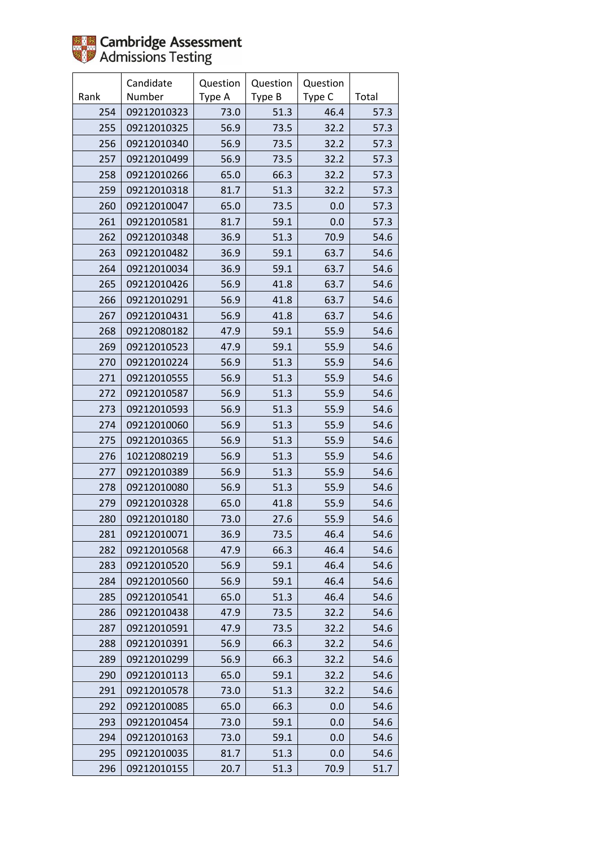

|      | Candidate   | Question | Question | Question |       |
|------|-------------|----------|----------|----------|-------|
| Rank | Number      | Type A   | Type B   | Type C   | Total |
| 254  | 09212010323 | 73.0     | 51.3     | 46.4     | 57.3  |
| 255  | 09212010325 | 56.9     | 73.5     | 32.2     | 57.3  |
| 256  | 09212010340 | 56.9     | 73.5     | 32.2     | 57.3  |
| 257  | 09212010499 | 56.9     | 73.5     | 32.2     | 57.3  |
| 258  | 09212010266 | 65.0     | 66.3     | 32.2     | 57.3  |
| 259  | 09212010318 | 81.7     | 51.3     | 32.2     | 57.3  |
| 260  | 09212010047 | 65.0     | 73.5     | 0.0      | 57.3  |
| 261  | 09212010581 | 81.7     | 59.1     | 0.0      | 57.3  |
| 262  | 09212010348 | 36.9     | 51.3     | 70.9     | 54.6  |
| 263  | 09212010482 | 36.9     | 59.1     | 63.7     | 54.6  |
| 264  | 09212010034 | 36.9     | 59.1     | 63.7     | 54.6  |
| 265  | 09212010426 | 56.9     | 41.8     | 63.7     | 54.6  |
| 266  | 09212010291 | 56.9     | 41.8     | 63.7     | 54.6  |
| 267  | 09212010431 | 56.9     | 41.8     | 63.7     | 54.6  |
| 268  | 09212080182 | 47.9     | 59.1     | 55.9     | 54.6  |
| 269  | 09212010523 | 47.9     | 59.1     | 55.9     | 54.6  |
| 270  | 09212010224 | 56.9     | 51.3     | 55.9     | 54.6  |
| 271  | 09212010555 | 56.9     | 51.3     | 55.9     | 54.6  |
| 272  | 09212010587 | 56.9     | 51.3     | 55.9     | 54.6  |
| 273  | 09212010593 | 56.9     | 51.3     | 55.9     | 54.6  |
| 274  | 09212010060 | 56.9     | 51.3     | 55.9     | 54.6  |
| 275  | 09212010365 | 56.9     | 51.3     | 55.9     | 54.6  |
| 276  | 10212080219 | 56.9     | 51.3     | 55.9     | 54.6  |
| 277  | 09212010389 | 56.9     | 51.3     | 55.9     | 54.6  |
| 278  | 09212010080 | 56.9     | 51.3     | 55.9     | 54.6  |
| 279  | 09212010328 | 65.0     | 41.8     | 55.9     | 54.6  |
| 280  | 09212010180 | 73.0     | 27.6     | 55.9     | 54.6  |
| 281  | 09212010071 | 36.9     | 73.5     | 46.4     | 54.6  |
| 282  | 09212010568 | 47.9     | 66.3     | 46.4     | 54.6  |
| 283  | 09212010520 | 56.9     | 59.1     | 46.4     | 54.6  |
| 284  | 09212010560 | 56.9     | 59.1     | 46.4     | 54.6  |
| 285  | 09212010541 | 65.0     | 51.3     | 46.4     | 54.6  |
| 286  | 09212010438 | 47.9     | 73.5     | 32.2     | 54.6  |
| 287  | 09212010591 | 47.9     | 73.5     | 32.2     | 54.6  |
| 288  | 09212010391 | 56.9     | 66.3     | 32.2     | 54.6  |
| 289  | 09212010299 | 56.9     | 66.3     | 32.2     | 54.6  |
| 290  | 09212010113 | 65.0     | 59.1     | 32.2     | 54.6  |
| 291  | 09212010578 | 73.0     | 51.3     | 32.2     | 54.6  |
| 292  | 09212010085 | 65.0     | 66.3     | 0.0      | 54.6  |
| 293  | 09212010454 | 73.0     | 59.1     | 0.0      | 54.6  |
| 294  | 09212010163 | 73.0     | 59.1     | 0.0      | 54.6  |
| 295  | 09212010035 | 81.7     | 51.3     | 0.0      | 54.6  |
| 296  | 09212010155 | 20.7     | 51.3     | 70.9     | 51.7  |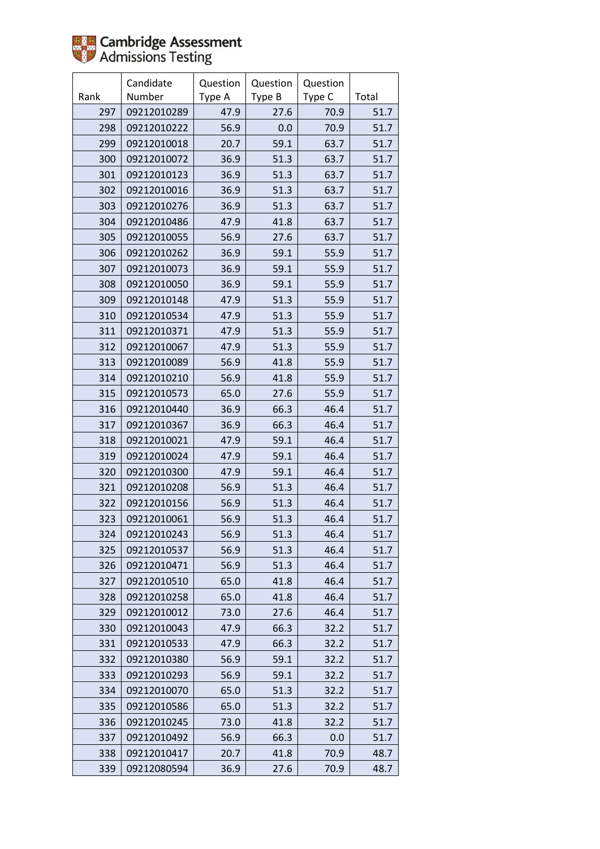

|      | Candidate   | Question | Question | Question |       |
|------|-------------|----------|----------|----------|-------|
| Rank | Number      | Type A   | Type B   | Type C   | Total |
| 297  | 09212010289 | 47.9     | 27.6     | 70.9     | 51.7  |
| 298  | 09212010222 | 56.9     | 0.0      | 70.9     | 51.7  |
| 299  | 09212010018 | 20.7     | 59.1     | 63.7     | 51.7  |
| 300  | 09212010072 | 36.9     | 51.3     | 63.7     | 51.7  |
| 301  | 09212010123 | 36.9     | 51.3     | 63.7     | 51.7  |
| 302  | 09212010016 | 36.9     | 51.3     | 63.7     | 51.7  |
| 303  | 09212010276 | 36.9     | 51.3     | 63.7     | 51.7  |
| 304  | 09212010486 | 47.9     | 41.8     | 63.7     | 51.7  |
| 305  | 09212010055 | 56.9     | 27.6     | 63.7     | 51.7  |
| 306  | 09212010262 | 36.9     | 59.1     | 55.9     | 51.7  |
| 307  | 09212010073 | 36.9     | 59.1     | 55.9     | 51.7  |
| 308  | 09212010050 | 36.9     | 59.1     | 55.9     | 51.7  |
| 309  | 09212010148 | 47.9     | 51.3     | 55.9     | 51.7  |
| 310  | 09212010534 | 47.9     | 51.3     | 55.9     | 51.7  |
| 311  | 09212010371 | 47.9     | 51.3     | 55.9     | 51.7  |
| 312  | 09212010067 | 47.9     | 51.3     | 55.9     | 51.7  |
| 313  | 09212010089 | 56.9     | 41.8     | 55.9     | 51.7  |
| 314  | 09212010210 | 56.9     | 41.8     | 55.9     | 51.7  |
| 315  | 09212010573 | 65.0     | 27.6     | 55.9     | 51.7  |
| 316  | 09212010440 | 36.9     | 66.3     | 46.4     | 51.7  |
| 317  | 09212010367 | 36.9     | 66.3     | 46.4     | 51.7  |
| 318  | 09212010021 | 47.9     | 59.1     | 46.4     | 51.7  |
| 319  | 09212010024 | 47.9     | 59.1     | 46.4     | 51.7  |
| 320  | 09212010300 | 47.9     | 59.1     | 46.4     | 51.7  |
| 321  | 09212010208 | 56.9     | 51.3     | 46.4     | 51.7  |
| 322  | 09212010156 | 56.9     | 51.3     | 46.4     | 51.7  |
| 323  | 09212010061 | 56.9     | 51.3     | 46.4     | 51.7  |
| 324  | 09212010243 | 56.9     | 51.3     | 46.4     | 51.7  |
| 325  | 09212010537 | 56.9     | 51.3     | 46.4     | 51.7  |
| 326  | 09212010471 | 56.9     | 51.3     | 46.4     | 51.7  |
| 327  | 09212010510 | 65.0     | 41.8     | 46.4     | 51.7  |
| 328  | 09212010258 | 65.0     | 41.8     | 46.4     | 51.7  |
| 329  | 09212010012 | 73.0     | 27.6     | 46.4     | 51.7  |
| 330  | 09212010043 | 47.9     | 66.3     | 32.2     | 51.7  |
| 331  | 09212010533 | 47.9     | 66.3     | 32.2     | 51.7  |
| 332  | 09212010380 | 56.9     | 59.1     | 32.2     | 51.7  |
| 333  | 09212010293 | 56.9     | 59.1     | 32.2     | 51.7  |
| 334  | 09212010070 | 65.0     | 51.3     | 32.2     | 51.7  |
| 335  | 09212010586 | 65.0     | 51.3     | 32.2     | 51.7  |
| 336  | 09212010245 | 73.0     | 41.8     | 32.2     | 51.7  |
| 337  | 09212010492 | 56.9     | 66.3     | 0.0      | 51.7  |
| 338  | 09212010417 | 20.7     | 41.8     | 70.9     | 48.7  |
| 339  | 09212080594 | 36.9     | 27.6     | 70.9     | 48.7  |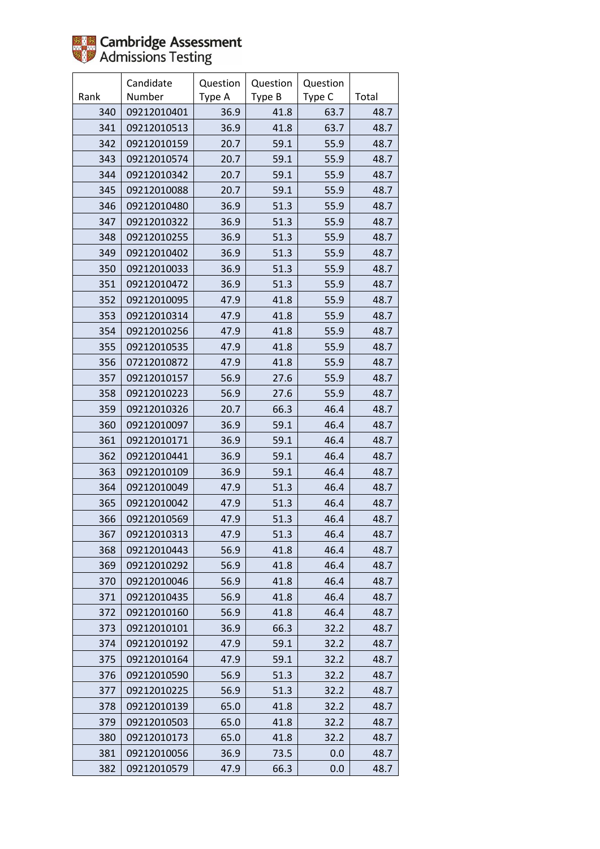

|      | Candidate   | Question | Question | Question |       |
|------|-------------|----------|----------|----------|-------|
| Rank | Number      | Type A   | Type B   | Type C   | Total |
| 340  | 09212010401 | 36.9     | 41.8     | 63.7     | 48.7  |
| 341  | 09212010513 | 36.9     | 41.8     | 63.7     | 48.7  |
| 342  | 09212010159 | 20.7     | 59.1     | 55.9     | 48.7  |
| 343  | 09212010574 | 20.7     | 59.1     | 55.9     | 48.7  |
| 344  | 09212010342 | 20.7     | 59.1     | 55.9     | 48.7  |
| 345  | 09212010088 | 20.7     | 59.1     | 55.9     | 48.7  |
| 346  | 09212010480 | 36.9     | 51.3     | 55.9     | 48.7  |
| 347  | 09212010322 | 36.9     | 51.3     | 55.9     | 48.7  |
| 348  | 09212010255 | 36.9     | 51.3     | 55.9     | 48.7  |
| 349  | 09212010402 | 36.9     | 51.3     | 55.9     | 48.7  |
| 350  | 09212010033 | 36.9     | 51.3     | 55.9     | 48.7  |
| 351  | 09212010472 | 36.9     | 51.3     | 55.9     | 48.7  |
| 352  | 09212010095 | 47.9     | 41.8     | 55.9     | 48.7  |
| 353  | 09212010314 | 47.9     | 41.8     | 55.9     | 48.7  |
| 354  | 09212010256 | 47.9     | 41.8     | 55.9     | 48.7  |
| 355  | 09212010535 | 47.9     | 41.8     | 55.9     | 48.7  |
| 356  | 07212010872 | 47.9     | 41.8     | 55.9     | 48.7  |
| 357  | 09212010157 | 56.9     | 27.6     | 55.9     | 48.7  |
| 358  | 09212010223 | 56.9     | 27.6     | 55.9     | 48.7  |
| 359  | 09212010326 | 20.7     | 66.3     | 46.4     | 48.7  |
| 360  | 09212010097 | 36.9     | 59.1     | 46.4     | 48.7  |
| 361  | 09212010171 | 36.9     | 59.1     | 46.4     | 48.7  |
| 362  | 09212010441 | 36.9     | 59.1     | 46.4     | 48.7  |
| 363  | 09212010109 | 36.9     | 59.1     | 46.4     | 48.7  |
| 364  | 09212010049 | 47.9     | 51.3     | 46.4     | 48.7  |
| 365  | 09212010042 | 47.9     | 51.3     | 46.4     | 48.7  |
| 366  | 09212010569 | 47.9     | 51.3     | 46.4     | 48.7  |
| 367  | 09212010313 | 47.9     | 51.3     | 46.4     | 48.7  |
| 368  | 09212010443 | 56.9     | 41.8     | 46.4     | 48.7  |
| 369  | 09212010292 | 56.9     | 41.8     | 46.4     | 48.7  |
| 370  | 09212010046 | 56.9     | 41.8     | 46.4     | 48.7  |
| 371  | 09212010435 | 56.9     | 41.8     | 46.4     | 48.7  |
| 372  | 09212010160 | 56.9     | 41.8     | 46.4     | 48.7  |
| 373  | 09212010101 | 36.9     | 66.3     | 32.2     | 48.7  |
| 374  | 09212010192 | 47.9     | 59.1     | 32.2     | 48.7  |
| 375  | 09212010164 | 47.9     | 59.1     | 32.2     | 48.7  |
| 376  | 09212010590 | 56.9     | 51.3     | 32.2     | 48.7  |
| 377  | 09212010225 | 56.9     | 51.3     | 32.2     | 48.7  |
| 378  | 09212010139 | 65.0     | 41.8     | 32.2     | 48.7  |
| 379  | 09212010503 | 65.0     | 41.8     | 32.2     | 48.7  |
| 380  | 09212010173 | 65.0     | 41.8     | 32.2     | 48.7  |
| 381  | 09212010056 | 36.9     | 73.5     | 0.0      | 48.7  |
| 382  | 09212010579 | 47.9     | 66.3     | 0.0      | 48.7  |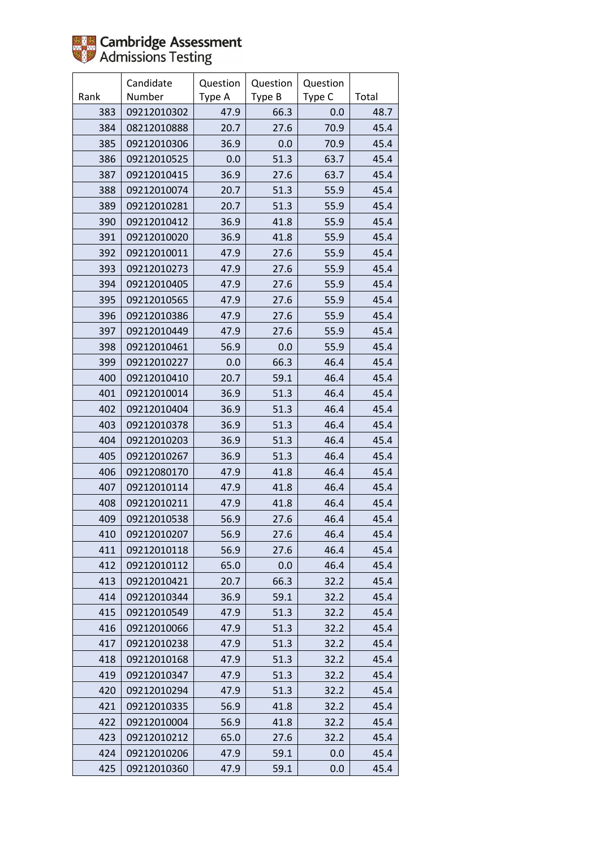

|      | Candidate   | Question | Question | Question |       |
|------|-------------|----------|----------|----------|-------|
| Rank | Number      | Type A   | Type B   | Type C   | Total |
| 383  | 09212010302 | 47.9     | 66.3     | 0.0      | 48.7  |
| 384  | 08212010888 | 20.7     | 27.6     | 70.9     | 45.4  |
| 385  | 09212010306 | 36.9     | 0.0      | 70.9     | 45.4  |
| 386  | 09212010525 | 0.0      | 51.3     | 63.7     | 45.4  |
| 387  | 09212010415 | 36.9     | 27.6     | 63.7     | 45.4  |
| 388  | 09212010074 | 20.7     | 51.3     | 55.9     | 45.4  |
| 389  | 09212010281 | 20.7     | 51.3     | 55.9     | 45.4  |
| 390  | 09212010412 | 36.9     | 41.8     | 55.9     | 45.4  |
| 391  | 09212010020 | 36.9     | 41.8     | 55.9     | 45.4  |
| 392  | 09212010011 | 47.9     | 27.6     | 55.9     | 45.4  |
| 393  | 09212010273 | 47.9     | 27.6     | 55.9     | 45.4  |
| 394  | 09212010405 | 47.9     | 27.6     | 55.9     | 45.4  |
| 395  | 09212010565 | 47.9     | 27.6     | 55.9     | 45.4  |
| 396  | 09212010386 | 47.9     | 27.6     | 55.9     | 45.4  |
| 397  | 09212010449 | 47.9     | 27.6     | 55.9     | 45.4  |
| 398  | 09212010461 | 56.9     | 0.0      | 55.9     | 45.4  |
| 399  | 09212010227 | 0.0      | 66.3     | 46.4     | 45.4  |
| 400  | 09212010410 | 20.7     | 59.1     | 46.4     | 45.4  |
| 401  | 09212010014 | 36.9     | 51.3     | 46.4     | 45.4  |
| 402  | 09212010404 | 36.9     | 51.3     | 46.4     | 45.4  |
| 403  | 09212010378 | 36.9     | 51.3     | 46.4     | 45.4  |
| 404  | 09212010203 | 36.9     | 51.3     | 46.4     | 45.4  |
| 405  | 09212010267 | 36.9     | 51.3     | 46.4     | 45.4  |
| 406  | 09212080170 | 47.9     | 41.8     | 46.4     | 45.4  |
| 407  | 09212010114 | 47.9     | 41.8     | 46.4     | 45.4  |
| 408  | 09212010211 | 47.9     | 41.8     | 46.4     | 45.4  |
| 409  | 09212010538 | 56.9     | 27.6     | 46.4     | 45.4  |
| 410  | 09212010207 | 56.9     | 27.6     | 46.4     | 45.4  |
| 411  | 09212010118 | 56.9     | 27.6     | 46.4     | 45.4  |
| 412  | 09212010112 | 65.0     | 0.0      | 46.4     | 45.4  |
| 413  | 09212010421 | 20.7     | 66.3     | 32.2     | 45.4  |
| 414  | 09212010344 | 36.9     | 59.1     | 32.2     | 45.4  |
| 415  | 09212010549 | 47.9     | 51.3     | 32.2     | 45.4  |
| 416  | 09212010066 | 47.9     | 51.3     | 32.2     | 45.4  |
| 417  | 09212010238 | 47.9     | 51.3     | 32.2     | 45.4  |
| 418  | 09212010168 | 47.9     | 51.3     | 32.2     | 45.4  |
| 419  | 09212010347 | 47.9     | 51.3     | 32.2     | 45.4  |
| 420  | 09212010294 | 47.9     | 51.3     | 32.2     | 45.4  |
| 421  | 09212010335 | 56.9     | 41.8     | 32.2     | 45.4  |
| 422  | 09212010004 | 56.9     | 41.8     | 32.2     | 45.4  |
| 423  | 09212010212 | 65.0     | 27.6     | 32.2     | 45.4  |
| 424  | 09212010206 | 47.9     | 59.1     | 0.0      | 45.4  |
| 425  | 09212010360 | 47.9     | 59.1     | 0.0      | 45.4  |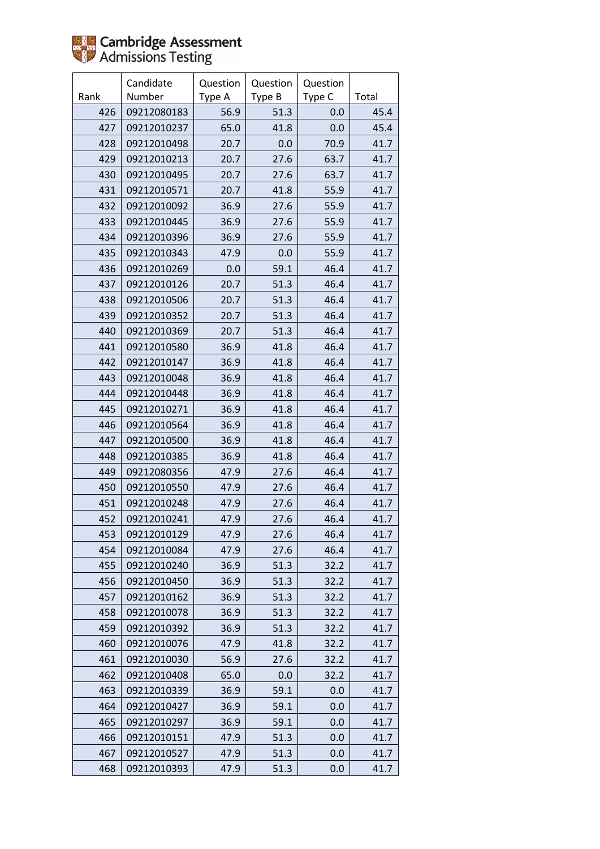

|      | Candidate   | Question | Question | Question |       |
|------|-------------|----------|----------|----------|-------|
| Rank | Number      | Type A   | Type B   | Type C   | Total |
| 426  | 09212080183 | 56.9     | 51.3     | 0.0      | 45.4  |
| 427  | 09212010237 | 65.0     | 41.8     | 0.0      | 45.4  |
| 428  | 09212010498 | 20.7     | 0.0      | 70.9     | 41.7  |
| 429  | 09212010213 | 20.7     | 27.6     | 63.7     | 41.7  |
| 430  | 09212010495 | 20.7     | 27.6     | 63.7     | 41.7  |
| 431  | 09212010571 | 20.7     | 41.8     | 55.9     | 41.7  |
| 432  | 09212010092 | 36.9     | 27.6     | 55.9     | 41.7  |
| 433  | 09212010445 | 36.9     | 27.6     | 55.9     | 41.7  |
| 434  | 09212010396 | 36.9     | 27.6     | 55.9     | 41.7  |
| 435  | 09212010343 | 47.9     | 0.0      | 55.9     | 41.7  |
| 436  | 09212010269 | 0.0      | 59.1     | 46.4     | 41.7  |
| 437  | 09212010126 | 20.7     | 51.3     | 46.4     | 41.7  |
| 438  | 09212010506 | 20.7     | 51.3     | 46.4     | 41.7  |
| 439  | 09212010352 | 20.7     | 51.3     | 46.4     | 41.7  |
| 440  | 09212010369 | 20.7     | 51.3     | 46.4     | 41.7  |
| 441  | 09212010580 | 36.9     | 41.8     | 46.4     | 41.7  |
| 442  | 09212010147 | 36.9     | 41.8     | 46.4     | 41.7  |
| 443  | 09212010048 | 36.9     | 41.8     | 46.4     | 41.7  |
| 444  | 09212010448 | 36.9     | 41.8     | 46.4     | 41.7  |
| 445  | 09212010271 | 36.9     | 41.8     | 46.4     | 41.7  |
| 446  | 09212010564 | 36.9     | 41.8     | 46.4     | 41.7  |
| 447  | 09212010500 | 36.9     | 41.8     | 46.4     | 41.7  |
| 448  | 09212010385 | 36.9     | 41.8     | 46.4     | 41.7  |
| 449  | 09212080356 | 47.9     | 27.6     | 46.4     | 41.7  |
| 450  | 09212010550 | 47.9     | 27.6     | 46.4     | 41.7  |
| 451  | 09212010248 | 47.9     | 27.6     | 46.4     | 41.7  |
| 452  | 09212010241 | 47.9     | 27.6     | 46.4     | 41.7  |
| 453  | 09212010129 | 47.9     | 27.6     | 46.4     | 41.7  |
| 454  | 09212010084 | 47.9     | 27.6     | 46.4     | 41.7  |
| 455  | 09212010240 | 36.9     | 51.3     | 32.2     | 41.7  |
| 456  | 09212010450 | 36.9     | 51.3     | 32.2     | 41.7  |
| 457  | 09212010162 | 36.9     | 51.3     | 32.2     | 41.7  |
| 458  | 09212010078 | 36.9     | 51.3     | 32.2     | 41.7  |
| 459  | 09212010392 | 36.9     | 51.3     | 32.2     | 41.7  |
| 460  | 09212010076 | 47.9     | 41.8     | 32.2     | 41.7  |
| 461  | 09212010030 | 56.9     | 27.6     | 32.2     | 41.7  |
| 462  | 09212010408 | 65.0     | 0.0      | 32.2     | 41.7  |
| 463  | 09212010339 | 36.9     | 59.1     | 0.0      | 41.7  |
| 464  | 09212010427 | 36.9     | 59.1     | 0.0      | 41.7  |
| 465  | 09212010297 | 36.9     | 59.1     | 0.0      | 41.7  |
| 466  | 09212010151 | 47.9     | 51.3     | 0.0      | 41.7  |
| 467  | 09212010527 | 47.9     | 51.3     | 0.0      | 41.7  |
| 468  | 09212010393 | 47.9     | 51.3     | 0.0      | 41.7  |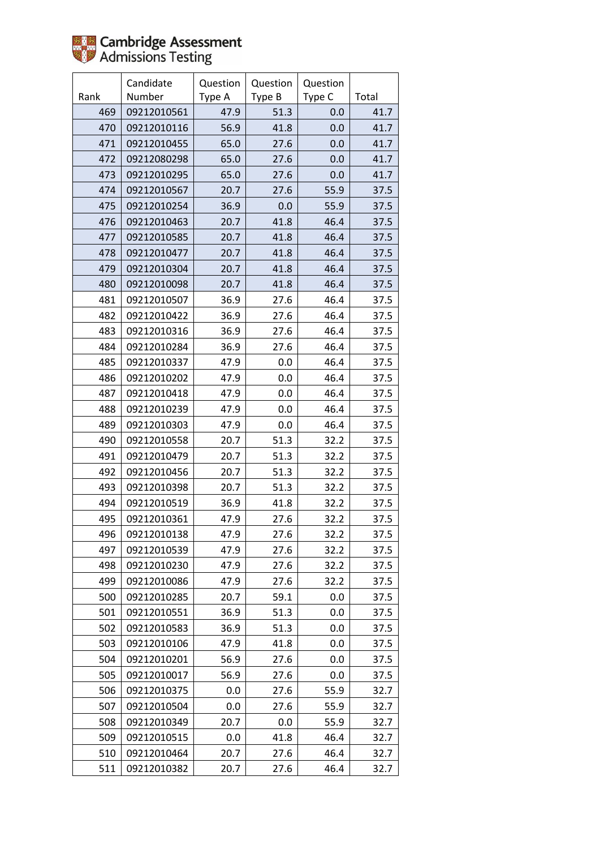

|      | Candidate   | Question | Question | Question |       |
|------|-------------|----------|----------|----------|-------|
| Rank | Number      | Type A   | Type B   | Type C   | Total |
| 469  | 09212010561 | 47.9     | 51.3     | 0.0      | 41.7  |
| 470  | 09212010116 | 56.9     | 41.8     | 0.0      | 41.7  |
| 471  | 09212010455 | 65.0     | 27.6     | 0.0      | 41.7  |
| 472  | 09212080298 | 65.0     | 27.6     | 0.0      | 41.7  |
| 473  | 09212010295 | 65.0     | 27.6     | 0.0      | 41.7  |
| 474  | 09212010567 | 20.7     | 27.6     | 55.9     | 37.5  |
| 475  | 09212010254 | 36.9     | 0.0      | 55.9     | 37.5  |
| 476  | 09212010463 | 20.7     | 41.8     | 46.4     | 37.5  |
| 477  | 09212010585 | 20.7     | 41.8     | 46.4     | 37.5  |
| 478  | 09212010477 | 20.7     | 41.8     | 46.4     | 37.5  |
| 479  | 09212010304 | 20.7     | 41.8     | 46.4     | 37.5  |
| 480  | 09212010098 | 20.7     | 41.8     | 46.4     | 37.5  |
| 481  | 09212010507 | 36.9     | 27.6     | 46.4     | 37.5  |
| 482  | 09212010422 | 36.9     | 27.6     | 46.4     | 37.5  |
| 483  | 09212010316 | 36.9     | 27.6     | 46.4     | 37.5  |
| 484  | 09212010284 | 36.9     | 27.6     | 46.4     | 37.5  |
| 485  | 09212010337 | 47.9     | 0.0      | 46.4     | 37.5  |
| 486  | 09212010202 | 47.9     | 0.0      | 46.4     | 37.5  |
| 487  | 09212010418 | 47.9     | 0.0      | 46.4     | 37.5  |
| 488  | 09212010239 | 47.9     | 0.0      | 46.4     | 37.5  |
| 489  | 09212010303 | 47.9     | 0.0      | 46.4     | 37.5  |
| 490  | 09212010558 | 20.7     | 51.3     | 32.2     | 37.5  |
| 491  | 09212010479 | 20.7     | 51.3     | 32.2     | 37.5  |
| 492  | 09212010456 | 20.7     | 51.3     | 32.2     | 37.5  |
| 493  | 09212010398 | 20.7     | 51.3     | 32.2     | 37.5  |
| 494  | 09212010519 | 36.9     | 41.8     | 32.2     | 37.5  |
| 495  | 09212010361 | 47.9     | 27.6     | 32.2     | 37.5  |
| 496  | 09212010138 | 47.9     | 27.6     | 32.2     | 37.5  |
| 497  | 09212010539 | 47.9     | 27.6     | 32.2     | 37.5  |
| 498  | 09212010230 | 47.9     | 27.6     | 32.2     | 37.5  |
| 499  | 09212010086 | 47.9     | 27.6     | 32.2     | 37.5  |
| 500  | 09212010285 | 20.7     | 59.1     | 0.0      | 37.5  |
| 501  | 09212010551 | 36.9     | 51.3     | 0.0      | 37.5  |
| 502  | 09212010583 | 36.9     | 51.3     | 0.0      | 37.5  |
| 503  | 09212010106 | 47.9     | 41.8     | 0.0      | 37.5  |
| 504  | 09212010201 | 56.9     | 27.6     | 0.0      | 37.5  |
| 505  | 09212010017 | 56.9     | 27.6     | 0.0      | 37.5  |
| 506  | 09212010375 | 0.0      | 27.6     | 55.9     | 32.7  |
| 507  | 09212010504 | 0.0      | 27.6     | 55.9     | 32.7  |
| 508  | 09212010349 | 20.7     | 0.0      | 55.9     | 32.7  |
| 509  | 09212010515 | 0.0      | 41.8     | 46.4     | 32.7  |
| 510  | 09212010464 | 20.7     | 27.6     | 46.4     | 32.7  |
| 511  | 09212010382 | 20.7     | 27.6     | 46.4     | 32.7  |